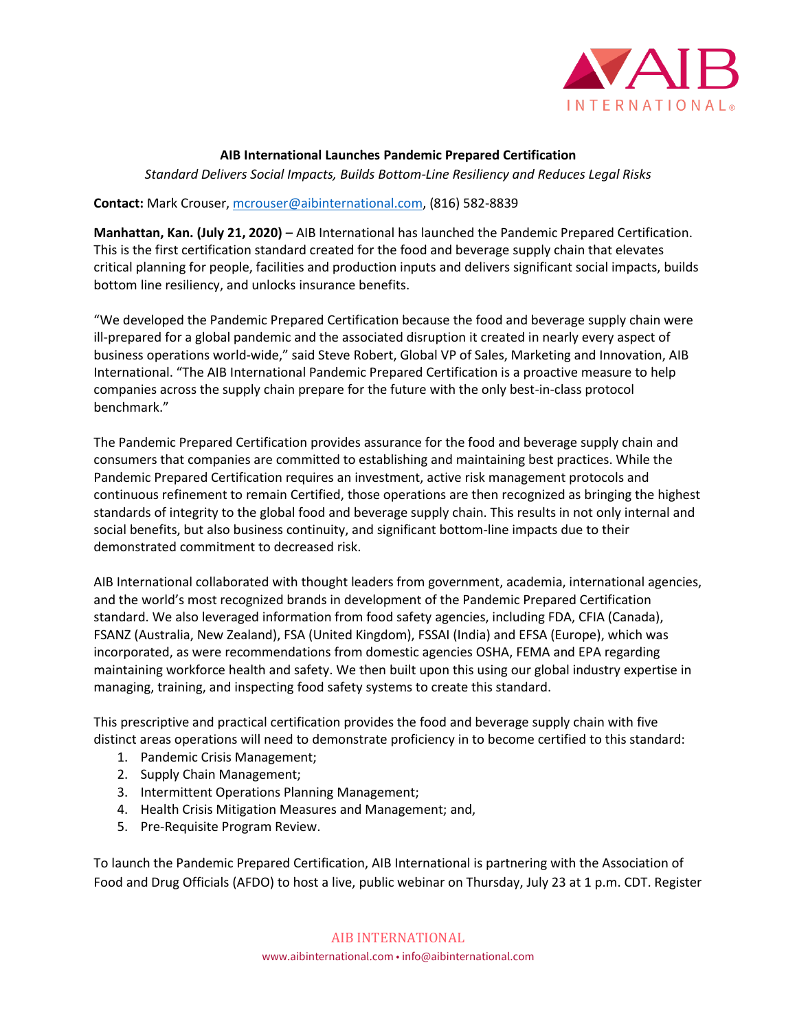

## **AIB International Launches Pandemic Prepared Certification**

*Standard Delivers Social Impacts, Builds Bottom-Line Resiliency and Reduces Legal Risks*

## **Contact:** Mark Crouser, [mcrouser@aibinternational.com,](mailto:mcrouser@aibinternational.com) (816) 582-8839

**Manhattan, Kan. (July 21, 2020)** – AIB International has launched the Pandemic Prepared Certification. This is the first certification standard created for the food and beverage supply chain that elevates critical planning for people, facilities and production inputs and delivers significant social impacts, builds bottom line resiliency, and unlocks insurance benefits.

"We developed the Pandemic Prepared Certification because the food and beverage supply chain were ill-prepared for a global pandemic and the associated disruption it created in nearly every aspect of business operations world-wide," said Steve Robert, Global VP of Sales, Marketing and Innovation, AIB International. "The AIB International Pandemic Prepared Certification is a proactive measure to help companies across the supply chain prepare for the future with the only best-in-class protocol benchmark."

The Pandemic Prepared Certification provides assurance for the food and beverage supply chain and consumers that companies are committed to establishing and maintaining best practices. While the Pandemic Prepared Certification requires an investment, active risk management protocols and continuous refinement to remain Certified, those operations are then recognized as bringing the highest standards of integrity to the global food and beverage supply chain. This results in not only internal and social benefits, but also business continuity, and significant bottom-line impacts due to their demonstrated commitment to decreased risk.

AIB International collaborated with thought leaders from government, academia, international agencies, and the world's most recognized brands in development of the Pandemic Prepared Certification standard. We also leveraged information from food safety agencies, including FDA, CFIA (Canada), FSANZ (Australia, New Zealand), FSA (United Kingdom), FSSAI (India) and EFSA (Europe), which was incorporated, as were recommendations from domestic agencies OSHA, FEMA and EPA regarding maintaining workforce health and safety. We then built upon this using our global industry expertise in managing, training, and inspecting food safety systems to create this standard.

This prescriptive and practical certification provides the food and beverage supply chain with five distinct areas operations will need to demonstrate proficiency in to become certified to this standard:

- 1. Pandemic Crisis Management;
- 2. Supply Chain Management;
- 3. Intermittent Operations Planning Management;
- 4. Health Crisis Mitigation Measures and Management; and,
- 5. Pre-Requisite Program Review.

To launch the Pandemic Prepared Certification, AIB International is partnering with the Association of Food and Drug Officials (AFDO) to host a live, public webinar on Thursday, July 23 at 1 p.m. CDT. Register